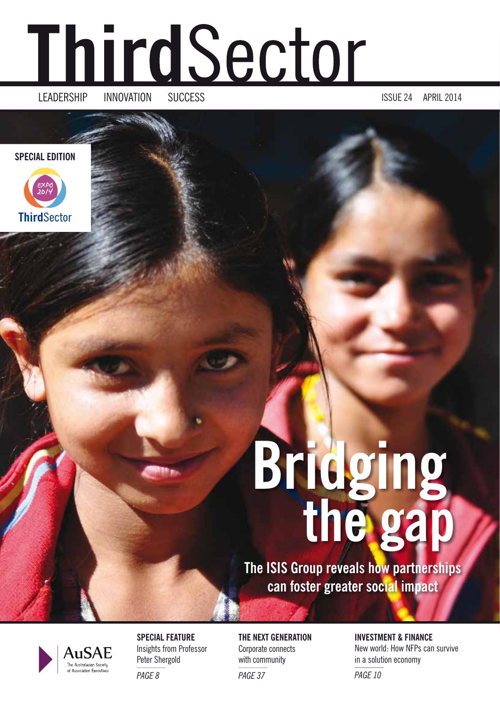# <u>ThirdSector</u>

LEADERSHIP INNOVATION SUCCESS ISSUE 24 APRIL 2014

**SPECIAL EDITION**



# **Bridging the gap**

**The ISIS Group reveals how partnerships can foster greater social impact**



**SPECIAL FEATURE** Insights from Professor Peter Shergold *PAGE 8*

**THE NEXT GENERATION** Corporate connects with community

*PAGE 37*

**INVESTMENT & FINANCE** New world: How NFPs can survive in a solution economy *PAGE 10*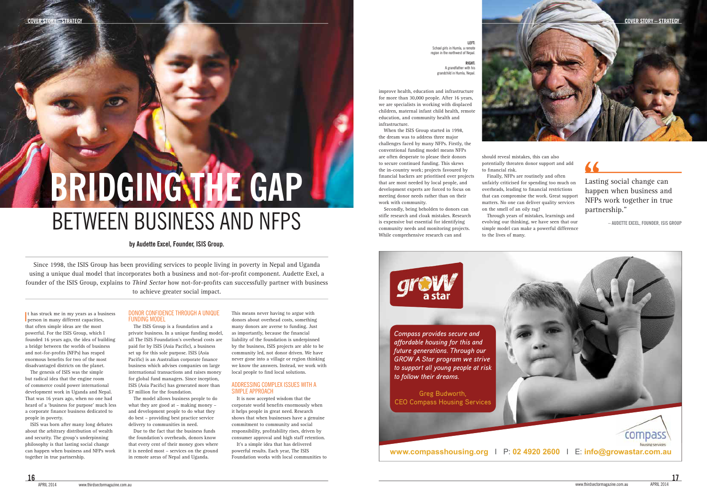**17**

66

improve health, education and infrastructure for more than 30,000 people. After 16 years, we are specialists in working with displaced children, maternal infant child health, remote education, and community health and infrastructure.

to secure continued funding. This skews When the ISIS Group started in 1998, the dream was to address three major challenges faced by many NFPs. Firstly, the conventional funding model means NFPs are often desperate to please their donors the in-country work; projects favoured by financial backers are prioritised over projects that are most needed by local people, and development experts are forced to focus on meeting donor needs rather than on their work with community.

Secondly, being beholden to donors can stifle research and cloak mistakes. Research is expensive but essential for identifying community needs and monitoring projects. While comprehensive research can and

It has struck me in my years as a business<br>person in many different capacities, person in many different capacities, that often simple ideas are the most powerful. For the ISIS Group, which I founded 16 years ago, the idea of building a bridge between the worlds of business and not-for-profits (NFPs) has reaped enormous benefits for two of the most disadvantaged districts on the planet.

should reveal mistakes, this can also potentially threaten donor support and add to financial risk.

The ISIS Group is a foundation and a private business. In a unique funding model, all The ISIS Foundation's overhead costs are paid for by ISIS (Asia Pacific), a business set up for this sole purpose. ISIS (Asia Pacific) is an Australian corporate finance business which advises companies on large international transactions and raises money for global fund managers. Since inception, ISIS (Asia Pacific) has generated more than \$7 million for the foundation.

Finally, NFPs are routinely and often unfairly criticised for spending too much on overheads, leading to financial restrictions that can compromise the work. Great support matters. No one can deliver quality services on the smell of an oily rag!

Through years of mistakes, learnings and evolving our thinking, we have seen that our simple model can make a powerful difference to the lives of many.

The genesis of ISIS was the simple but radical idea that the engine room of commerce could power international development work in Uganda and Nepal. That was 16 years ago, when no one had heard of a 'business for purpose' much less a corporate finance business dedicated to people in poverty.

ISIS was born after many long debates about the arbitrary distribution of wealth and security. The group's underpinning philosophy is that lasting social change can happen when business and NFPs work together in true partnership.

### DONOR CONFIDENCE THROUGH A UNIQUE FUNDING MODEL

The model allows business people to do what they are good at – making money – and development people to do what they do best – providing best practice service delivery to communities in need.

Due to the fact that the business funds the foundation's overheads, donors know that every cent of their money goes where it is needed most – services on the ground in remote areas of Nepal and Uganda.

This means never having to argue with donors about overhead costs, something many donors are averse to funding. Just as importantly, because the financial liability of the foundation is underpinned by the business, ISIS projects are able to be community led, not donor driven. We have never gone into a village or region thinking we know the answers. Instead, we work with local people to find local solutions.

#### ADDRESSING COMPLEX ISSUES WITH A SIMPLE APPROACH

It is now accepted wisdom that the corporate world benefits enormously when it helps people in great need. Research shows that when businesses have a genuine commitment to community and social responsibility, profitability rises, driven by consumer approval and high staff retention.

It's a simple idea that has delivered powerful results. Each year, The ISIS Foundation works with local communities to

Since 1998, the ISIS Group has been providing services to people living in poverty in Nepal and Uganda using a unique dual model that incorporates both a business and not-for-profit component. Audette Exel, a founder of the ISIS Group, explains to *Third Sector* how not-for-profits can successfully partner with business

to achieve greater social impact.

# BETWEEN BUSINESS AND NFPS **BRIDGING THE GAP**

## **by Audette Excel, Founder, ISIS Group.**



Greg Budworth, CEO Compass Housing Services

*Compass provides secure and affordable housing for this and future generations. Through our GROW A Star program we strive to support all young people at risk to follow their dreams.* 



Lasting social change can happen when business and NFPs work together in true partnership."

**– AUDETTE EXCEL, FOUNDER, ISIS GROUP**

**LEFT:** School girls in Humla, a remote region in the northwest of Nepal.

> **RIGHT:** A grandfather with his grandchild in Humla, Nepal.